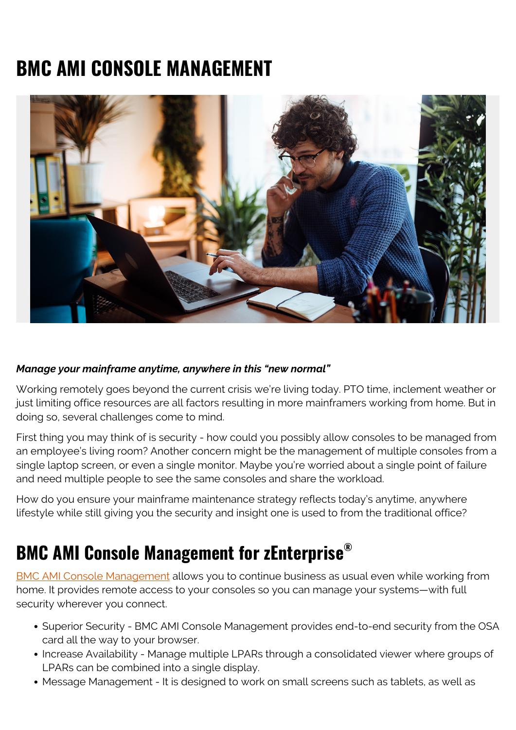## **BMC AMI CONSOLE MANAGEMENT**



## *Manage your mainframe anytime, anywhere in this "new normal"*

Working remotely goes beyond the current crisis we're living today. PTO time, inclement weather or just limiting office resources are all factors resulting in more mainframers working from home. But in doing so, several challenges come to mind.

First thing you may think of is security - how could you possibly allow consoles to be managed from an employee's living room? Another concern might be the management of multiple consoles from a single laptop screen, or even a single monitor. Maybe you're worried about a single point of failure and need multiple people to see the same consoles and share the workload.

How do you ensure your mainframe maintenance strategy reflects today's anytime, anywhere lifestyle while still giving you the security and insight one is used to from the traditional office?

## **BMC AMI Console Management for zEnterprise®**

[BMC AMI Console Management](https://blogs.bmc.com/documents/datasheets/bmc-ami-console-management.html) allows you to continue business as usual even while working from home. It provides remote access to your consoles so you can manage your systems—with full security wherever you connect.

- Superior Security BMC AMI Console Management provides end-to-end security from the OSA card all the way to your browser.
- Increase Availability Manage multiple LPARs through a consolidated viewer where groups of LPARs can be combined into a single display.
- Message Management It is designed to work on small screens such as tablets, as well as